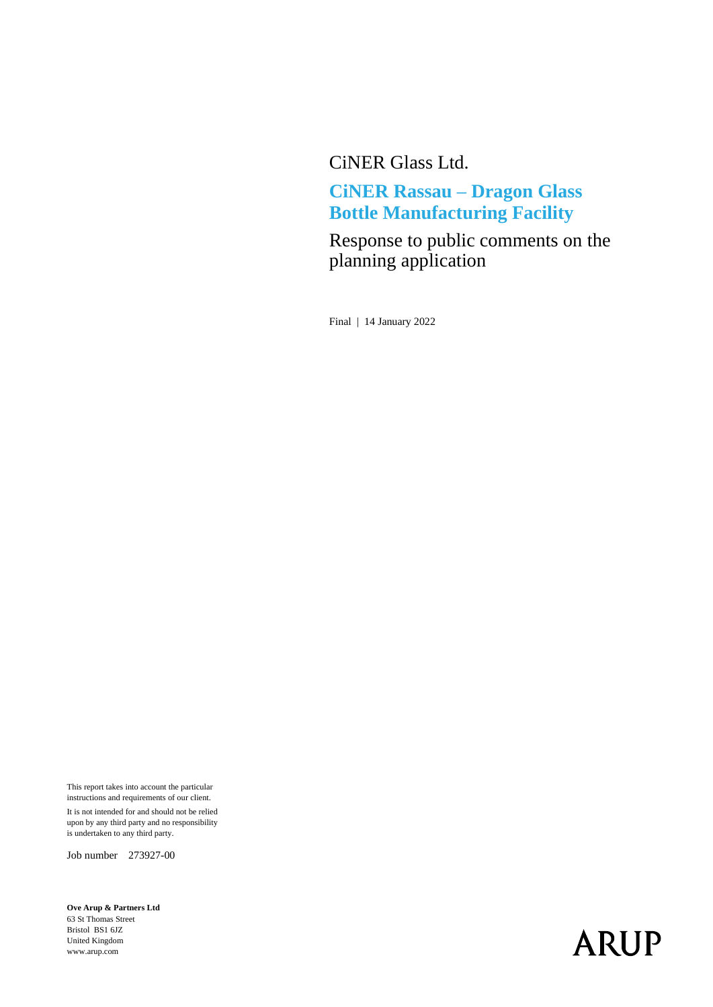CiNER Glass Ltd.

#### **CiNER Rassau – Dragon Glass Bottle Manufacturing Facility**

Response to public comments on the planning application

Final | 14 January 2022

This report takes into account the particular instructions and requirements of our client. It is not intended for and should not be relied upon by any third party and no responsibility is undertaken to any third party.

Job number 273927-00

**Ove Arup & Partners Ltd** 63 St Thomas Street Bristol BS1 6JZ United Kingdom www.arup.com

# **ARUP**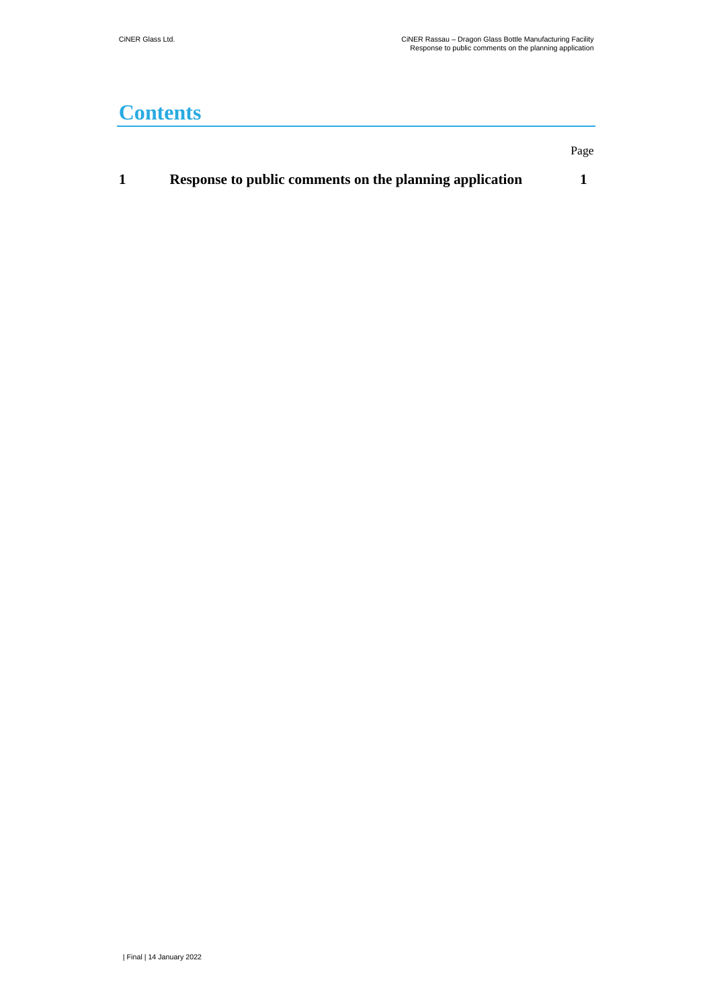### **Contents**

| Response to public comments on the planning application |  |
|---------------------------------------------------------|--|
|                                                         |  |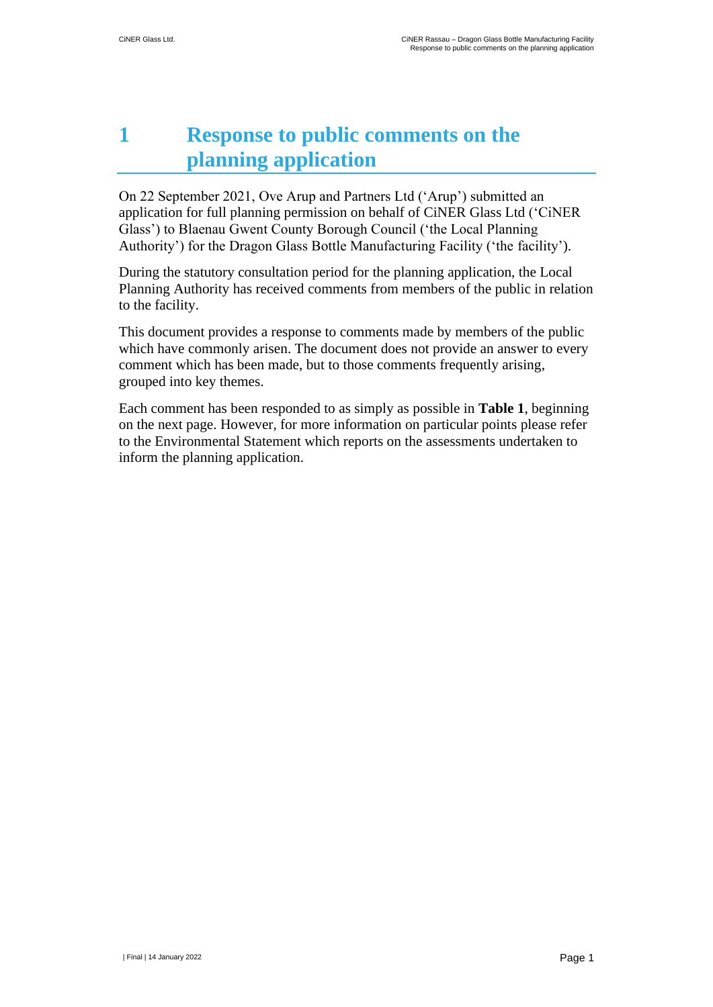## <span id="page-2-0"></span>**1 Response to public comments on the planning application**

On 22 September 2021, Ove Arup and Partners Ltd ('Arup') submitted an application for full planning permission on behalf of CiNER Glass Ltd ('CiNER Glass') to Blaenau Gwent County Borough Council ('the Local Planning Authority') for the Dragon Glass Bottle Manufacturing Facility ('the facility').

During the statutory consultation period for the planning application, the Local Planning Authority has received comments from members of the public in relation to the facility.

This document provides a response to comments made by members of the public which have commonly arisen. The document does not provide an answer to every comment which has been made, but to those comments frequently arising, grouped into key themes.

Each comment has been responded to as simply as possible in **Table 1**, beginning on the next page. However, for more information on particular points please refer to the Environmental Statement which reports on the assessments undertaken to inform the planning application.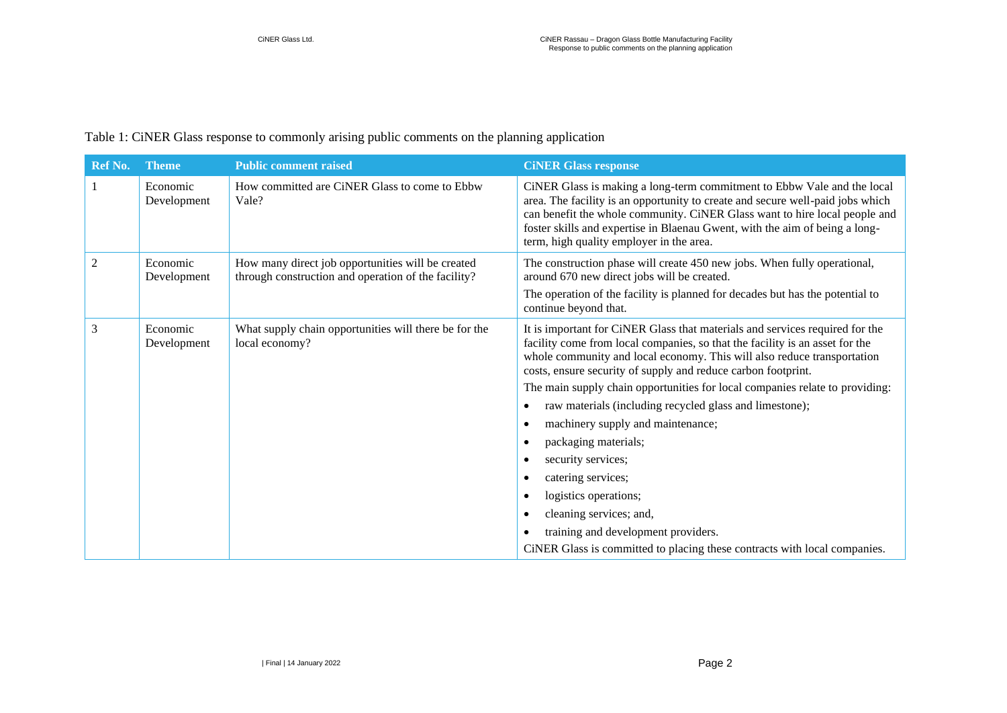#### Table 1: CiNER Glass response to commonly arising public comments on the planning application

| <b>Ref No.</b> | <b>Theme</b>            | <b>Public comment raised</b>                                                                             | <b>CINER Glass response</b>                                                                                                                                                                                                                                                                                                                                                                                                                                                                                           |
|----------------|-------------------------|----------------------------------------------------------------------------------------------------------|-----------------------------------------------------------------------------------------------------------------------------------------------------------------------------------------------------------------------------------------------------------------------------------------------------------------------------------------------------------------------------------------------------------------------------------------------------------------------------------------------------------------------|
|                | Economic<br>Development | How committed are CiNER Glass to come to Ebbw<br>Vale?                                                   | CiNER Glass is making a long-term commitment to Ebbw Vale and the local<br>area. The facility is an opportunity to create and secure well-paid jobs which<br>can benefit the whole community. CiNER Glass want to hire local people and<br>foster skills and expertise in Blaenau Gwent, with the aim of being a long-<br>term, high quality employer in the area.                                                                                                                                                    |
| $\overline{2}$ | Economic<br>Development | How many direct job opportunities will be created<br>through construction and operation of the facility? | The construction phase will create 450 new jobs. When fully operational,<br>around 670 new direct jobs will be created.                                                                                                                                                                                                                                                                                                                                                                                               |
|                |                         |                                                                                                          | The operation of the facility is planned for decades but has the potential to<br>continue beyond that.                                                                                                                                                                                                                                                                                                                                                                                                                |
| 3              | Economic<br>Development | What supply chain opportunities will there be for the<br>local economy?                                  | It is important for CiNER Glass that materials and services required for the<br>facility come from local companies, so that the facility is an asset for the<br>whole community and local economy. This will also reduce transportation<br>costs, ensure security of supply and reduce carbon footprint.<br>The main supply chain opportunities for local companies relate to providing:<br>raw materials (including recycled glass and limestone);<br>٠<br>machinery supply and maintenance;<br>packaging materials; |
|                |                         |                                                                                                          | security services;                                                                                                                                                                                                                                                                                                                                                                                                                                                                                                    |
|                |                         |                                                                                                          | catering services;                                                                                                                                                                                                                                                                                                                                                                                                                                                                                                    |
|                |                         |                                                                                                          | logistics operations;                                                                                                                                                                                                                                                                                                                                                                                                                                                                                                 |
|                |                         |                                                                                                          | cleaning services; and,                                                                                                                                                                                                                                                                                                                                                                                                                                                                                               |
|                |                         |                                                                                                          | training and development providers.                                                                                                                                                                                                                                                                                                                                                                                                                                                                                   |
|                |                         |                                                                                                          | CiNER Glass is committed to placing these contracts with local companies.                                                                                                                                                                                                                                                                                                                                                                                                                                             |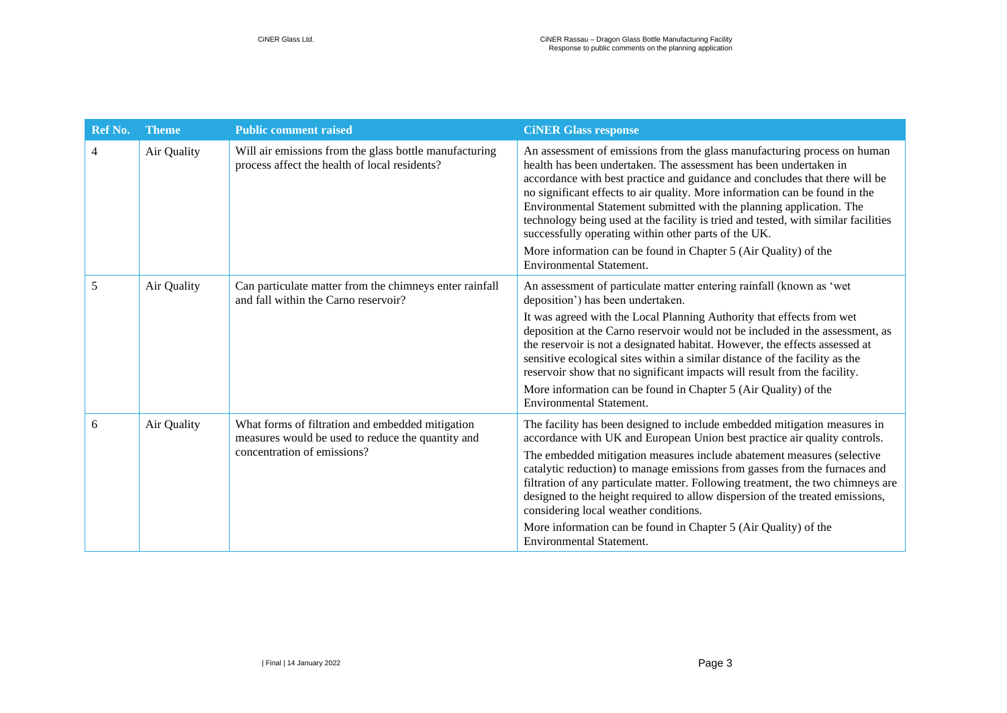| Ref No.        | <b>Theme</b> | <b>Public comment raised</b>                                                                                                         | <b>CINER Glass response</b>                                                                                                                                                                                                                                                                                                                                                                                                                                                                                                                                                                                                             |
|----------------|--------------|--------------------------------------------------------------------------------------------------------------------------------------|-----------------------------------------------------------------------------------------------------------------------------------------------------------------------------------------------------------------------------------------------------------------------------------------------------------------------------------------------------------------------------------------------------------------------------------------------------------------------------------------------------------------------------------------------------------------------------------------------------------------------------------------|
| $\overline{4}$ | Air Quality  | Will air emissions from the glass bottle manufacturing<br>process affect the health of local residents?                              | An assessment of emissions from the glass manufacturing process on human<br>health has been undertaken. The assessment has been undertaken in<br>accordance with best practice and guidance and concludes that there will be<br>no significant effects to air quality. More information can be found in the<br>Environmental Statement submitted with the planning application. The<br>technology being used at the facility is tried and tested, with similar facilities<br>successfully operating within other parts of the UK.<br>More information can be found in Chapter 5 (Air Quality) of the<br><b>Environmental Statement.</b> |
| 5              | Air Quality  | Can particulate matter from the chimneys enter rainfall<br>and fall within the Carno reservoir?                                      | An assessment of particulate matter entering rainfall (known as 'wet<br>deposition') has been undertaken.<br>It was agreed with the Local Planning Authority that effects from wet<br>deposition at the Carno reservoir would not be included in the assessment, as<br>the reservoir is not a designated habitat. However, the effects assessed at<br>sensitive ecological sites within a similar distance of the facility as the<br>reservoir show that no significant impacts will result from the facility.<br>More information can be found in Chapter 5 (Air Quality) of the<br><b>Environmental Statement.</b>                    |
| 6              | Air Quality  | What forms of filtration and embedded mitigation<br>measures would be used to reduce the quantity and<br>concentration of emissions? | The facility has been designed to include embedded mitigation measures in<br>accordance with UK and European Union best practice air quality controls.<br>The embedded mitigation measures include abatement measures (selective<br>catalytic reduction) to manage emissions from gasses from the furnaces and<br>filtration of any particulate matter. Following treatment, the two chimneys are<br>designed to the height required to allow dispersion of the treated emissions,<br>considering local weather conditions.<br>More information can be found in Chapter 5 (Air Quality) of the<br><b>Environmental Statement.</b>       |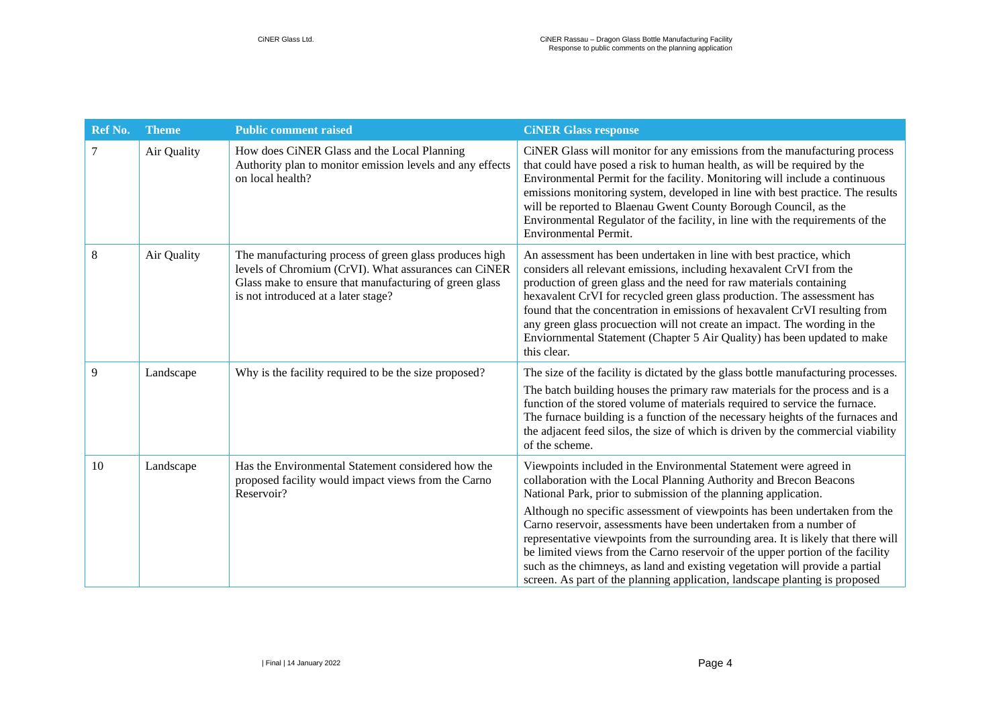| <b>Ref No.</b> | <b>Theme</b> | <b>Public comment raised</b>                                                                                                                                                                                    | <b>CINER Glass response</b>                                                                                                                                                                                                                                                                                                                                                                                                                                                                                                                                                                                                                                                                          |
|----------------|--------------|-----------------------------------------------------------------------------------------------------------------------------------------------------------------------------------------------------------------|------------------------------------------------------------------------------------------------------------------------------------------------------------------------------------------------------------------------------------------------------------------------------------------------------------------------------------------------------------------------------------------------------------------------------------------------------------------------------------------------------------------------------------------------------------------------------------------------------------------------------------------------------------------------------------------------------|
| 7              | Air Quality  | How does CiNER Glass and the Local Planning<br>Authority plan to monitor emission levels and any effects<br>on local health?                                                                                    | CiNER Glass will monitor for any emissions from the manufacturing process<br>that could have posed a risk to human health, as will be required by the<br>Environmental Permit for the facility. Monitoring will include a continuous<br>emissions monitoring system, developed in line with best practice. The results<br>will be reported to Blaenau Gwent County Borough Council, as the<br>Environmental Regulator of the facility, in line with the requirements of the<br>Environmental Permit.                                                                                                                                                                                                 |
| 8              | Air Quality  | The manufacturing process of green glass produces high<br>levels of Chromium (CrVI). What assurances can CiNER<br>Glass make to ensure that manufacturing of green glass<br>is not introduced at a later stage? | An assessment has been undertaken in line with best practice, which<br>considers all relevant emissions, including hexavalent CrVI from the<br>production of green glass and the need for raw materials containing<br>hexavalent CrVI for recycled green glass production. The assessment has<br>found that the concentration in emissions of hexavalent CrVI resulting from<br>any green glass procuection will not create an impact. The wording in the<br>Enviornmental Statement (Chapter 5 Air Quality) has been updated to make<br>this clear.                                                                                                                                                 |
| 9              | Landscape    | Why is the facility required to be the size proposed?                                                                                                                                                           | The size of the facility is dictated by the glass bottle manufacturing processes.<br>The batch building houses the primary raw materials for the process and is a<br>function of the stored volume of materials required to service the furnace.<br>The furnace building is a function of the necessary heights of the furnaces and<br>the adjacent feed silos, the size of which is driven by the commercial viability<br>of the scheme.                                                                                                                                                                                                                                                            |
| 10             | Landscape    | Has the Environmental Statement considered how the<br>proposed facility would impact views from the Carno<br>Reservoir?                                                                                         | Viewpoints included in the Environmental Statement were agreed in<br>collaboration with the Local Planning Authority and Brecon Beacons<br>National Park, prior to submission of the planning application.<br>Although no specific assessment of viewpoints has been undertaken from the<br>Carno reservoir, assessments have been undertaken from a number of<br>representative viewpoints from the surrounding area. It is likely that there will<br>be limited views from the Carno reservoir of the upper portion of the facility<br>such as the chimneys, as land and existing vegetation will provide a partial<br>screen. As part of the planning application, landscape planting is proposed |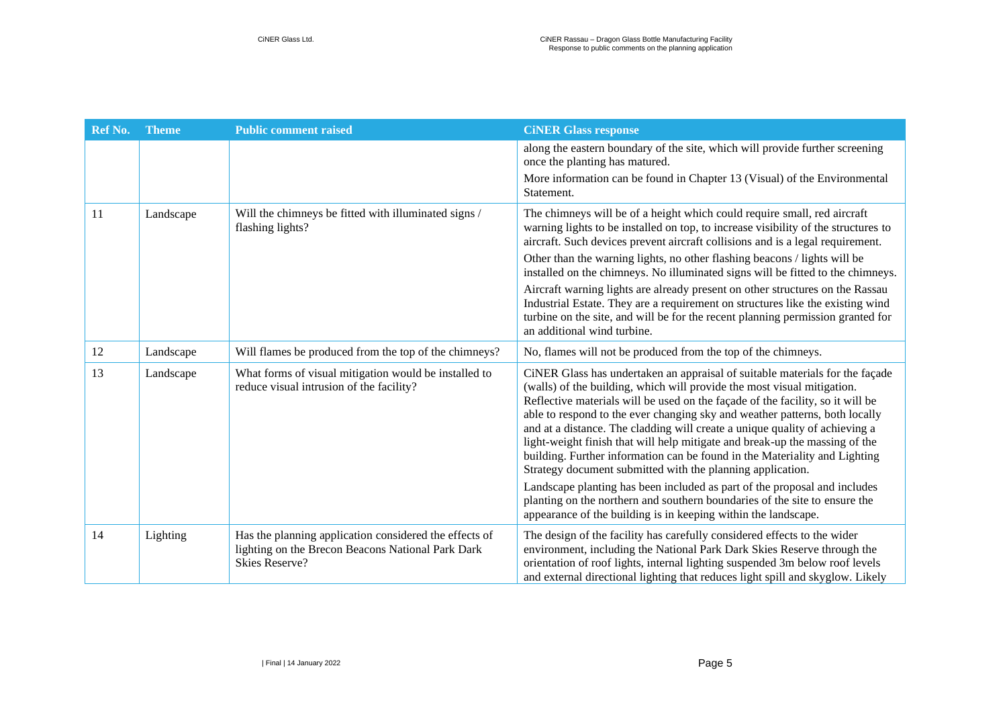| Ref No. | <b>Theme</b> | <b>Public comment raised</b>                                                                                                         | <b>CINER Glass response</b>                                                                                                                                                                                                                                                                                                                                                                                                                                                                                                                                                                                                                                                                                                                                                                                                                                     |
|---------|--------------|--------------------------------------------------------------------------------------------------------------------------------------|-----------------------------------------------------------------------------------------------------------------------------------------------------------------------------------------------------------------------------------------------------------------------------------------------------------------------------------------------------------------------------------------------------------------------------------------------------------------------------------------------------------------------------------------------------------------------------------------------------------------------------------------------------------------------------------------------------------------------------------------------------------------------------------------------------------------------------------------------------------------|
|         |              |                                                                                                                                      | along the eastern boundary of the site, which will provide further screening<br>once the planting has matured.                                                                                                                                                                                                                                                                                                                                                                                                                                                                                                                                                                                                                                                                                                                                                  |
|         |              |                                                                                                                                      | More information can be found in Chapter 13 (Visual) of the Environmental<br>Statement.                                                                                                                                                                                                                                                                                                                                                                                                                                                                                                                                                                                                                                                                                                                                                                         |
| 11      | Landscape    | Will the chimneys be fitted with illuminated signs /<br>flashing lights?                                                             | The chimneys will be of a height which could require small, red aircraft<br>warning lights to be installed on top, to increase visibility of the structures to<br>aircraft. Such devices prevent aircraft collisions and is a legal requirement.                                                                                                                                                                                                                                                                                                                                                                                                                                                                                                                                                                                                                |
|         |              |                                                                                                                                      | Other than the warning lights, no other flashing beacons / lights will be<br>installed on the chimneys. No illuminated signs will be fitted to the chimneys.                                                                                                                                                                                                                                                                                                                                                                                                                                                                                                                                                                                                                                                                                                    |
|         |              |                                                                                                                                      | Aircraft warning lights are already present on other structures on the Rassau<br>Industrial Estate. They are a requirement on structures like the existing wind<br>turbine on the site, and will be for the recent planning permission granted for<br>an additional wind turbine.                                                                                                                                                                                                                                                                                                                                                                                                                                                                                                                                                                               |
| 12      | Landscape    | Will flames be produced from the top of the chimneys?                                                                                | No, flames will not be produced from the top of the chimneys.                                                                                                                                                                                                                                                                                                                                                                                                                                                                                                                                                                                                                                                                                                                                                                                                   |
| 13      | Landscape    | What forms of visual mitigation would be installed to<br>reduce visual intrusion of the facility?                                    | CiNER Glass has undertaken an appraisal of suitable materials for the façade<br>(walls) of the building, which will provide the most visual mitigation.<br>Reflective materials will be used on the façade of the facility, so it will be<br>able to respond to the ever changing sky and weather patterns, both locally<br>and at a distance. The cladding will create a unique quality of achieving a<br>light-weight finish that will help mitigate and break-up the massing of the<br>building. Further information can be found in the Materiality and Lighting<br>Strategy document submitted with the planning application.<br>Landscape planting has been included as part of the proposal and includes<br>planting on the northern and southern boundaries of the site to ensure the<br>appearance of the building is in keeping within the landscape. |
| 14      | Lighting     | Has the planning application considered the effects of<br>lighting on the Brecon Beacons National Park Dark<br><b>Skies Reserve?</b> | The design of the facility has carefully considered effects to the wider<br>environment, including the National Park Dark Skies Reserve through the<br>orientation of roof lights, internal lighting suspended 3m below roof levels<br>and external directional lighting that reduces light spill and skyglow. Likely                                                                                                                                                                                                                                                                                                                                                                                                                                                                                                                                           |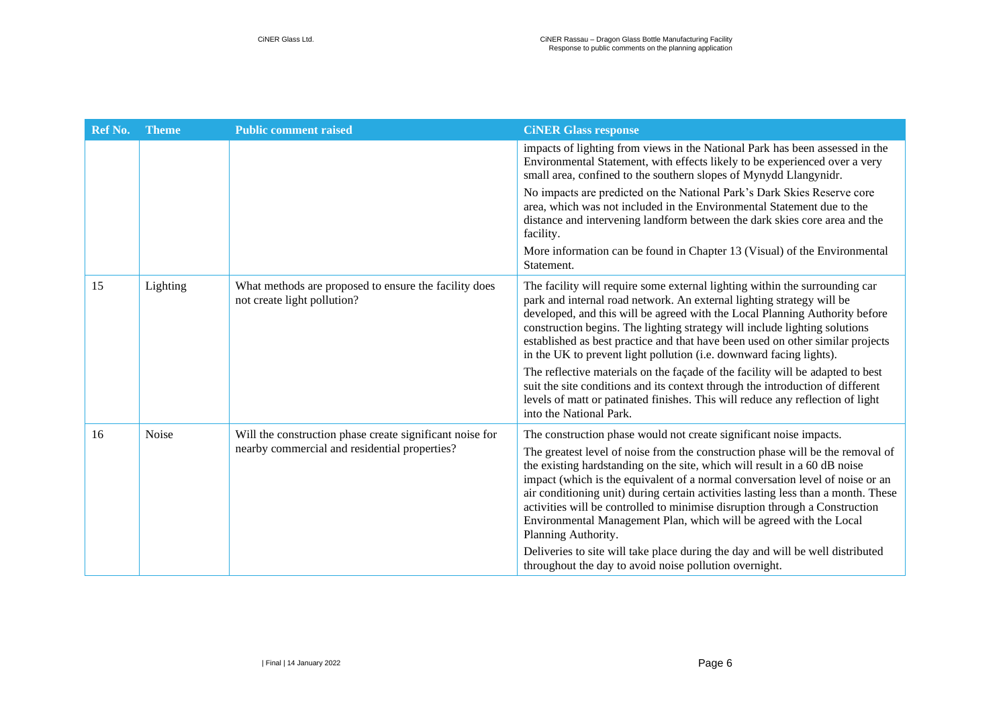| <b>Ref No.</b> | <b>Theme</b> | <b>Public comment raised</b>                                                                              | <b>CINER Glass response</b>                                                                                                                                                                                                                                                                                                                                                                                                                                                                                                                                                         |
|----------------|--------------|-----------------------------------------------------------------------------------------------------------|-------------------------------------------------------------------------------------------------------------------------------------------------------------------------------------------------------------------------------------------------------------------------------------------------------------------------------------------------------------------------------------------------------------------------------------------------------------------------------------------------------------------------------------------------------------------------------------|
|                |              |                                                                                                           | impacts of lighting from views in the National Park has been assessed in the<br>Environmental Statement, with effects likely to be experienced over a very<br>small area, confined to the southern slopes of Mynydd Llangynidr.                                                                                                                                                                                                                                                                                                                                                     |
|                |              |                                                                                                           | No impacts are predicted on the National Park's Dark Skies Reserve core<br>area, which was not included in the Environmental Statement due to the<br>distance and intervening landform between the dark skies core area and the<br>facility.                                                                                                                                                                                                                                                                                                                                        |
|                |              |                                                                                                           | More information can be found in Chapter 13 (Visual) of the Environmental<br>Statement.                                                                                                                                                                                                                                                                                                                                                                                                                                                                                             |
| 15             | Lighting     | What methods are proposed to ensure the facility does<br>not create light pollution?                      | The facility will require some external lighting within the surrounding car<br>park and internal road network. An external lighting strategy will be<br>developed, and this will be agreed with the Local Planning Authority before<br>construction begins. The lighting strategy will include lighting solutions<br>established as best practice and that have been used on other similar projects<br>in the UK to prevent light pollution (i.e. downward facing lights).                                                                                                          |
|                |              |                                                                                                           | The reflective materials on the façade of the facility will be adapted to best<br>suit the site conditions and its context through the introduction of different<br>levels of matt or patinated finishes. This will reduce any reflection of light<br>into the National Park.                                                                                                                                                                                                                                                                                                       |
| 16             | Noise        | Will the construction phase create significant noise for<br>nearby commercial and residential properties? | The construction phase would not create significant noise impacts.<br>The greatest level of noise from the construction phase will be the removal of<br>the existing hardstanding on the site, which will result in a 60 dB noise<br>impact (which is the equivalent of a normal conversation level of noise or an<br>air conditioning unit) during certain activities lasting less than a month. These<br>activities will be controlled to minimise disruption through a Construction<br>Environmental Management Plan, which will be agreed with the Local<br>Planning Authority. |
|                |              |                                                                                                           | Deliveries to site will take place during the day and will be well distributed<br>throughout the day to avoid noise pollution overnight.                                                                                                                                                                                                                                                                                                                                                                                                                                            |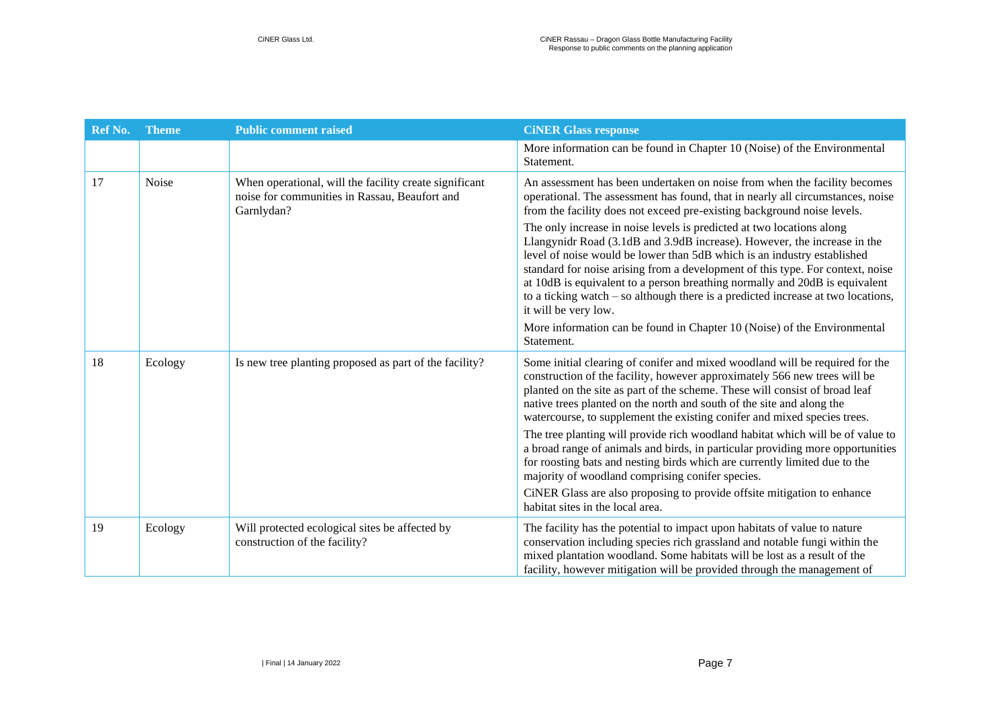| Ref No. | <b>Theme</b> | <b>Public comment raised</b>                                                                                          | <b>CINER Glass response</b>                                                                                                                                                                                                                                                                                                                                                                                                                                                                                 |
|---------|--------------|-----------------------------------------------------------------------------------------------------------------------|-------------------------------------------------------------------------------------------------------------------------------------------------------------------------------------------------------------------------------------------------------------------------------------------------------------------------------------------------------------------------------------------------------------------------------------------------------------------------------------------------------------|
|         |              |                                                                                                                       | More information can be found in Chapter 10 (Noise) of the Environmental<br>Statement.                                                                                                                                                                                                                                                                                                                                                                                                                      |
| 17      | Noise        | When operational, will the facility create significant<br>noise for communities in Rassau, Beaufort and<br>Garnlydan? | An assessment has been undertaken on noise from when the facility becomes<br>operational. The assessment has found, that in nearly all circumstances, noise<br>from the facility does not exceed pre-existing background noise levels.                                                                                                                                                                                                                                                                      |
|         |              |                                                                                                                       | The only increase in noise levels is predicted at two locations along<br>Llangynidr Road (3.1dB and 3.9dB increase). However, the increase in the<br>level of noise would be lower than 5dB which is an industry established<br>standard for noise arising from a development of this type. For context, noise<br>at 10dB is equivalent to a person breathing normally and 20dB is equivalent<br>to a ticking watch $-$ so although there is a predicted increase at two locations,<br>it will be very low. |
|         |              |                                                                                                                       | More information can be found in Chapter 10 (Noise) of the Environmental<br>Statement.                                                                                                                                                                                                                                                                                                                                                                                                                      |
| 18      | Ecology      | Is new tree planting proposed as part of the facility?                                                                | Some initial clearing of conifer and mixed woodland will be required for the<br>construction of the facility, however approximately 566 new trees will be<br>planted on the site as part of the scheme. These will consist of broad leaf<br>native trees planted on the north and south of the site and along the<br>watercourse, to supplement the existing conifer and mixed species trees.                                                                                                               |
|         |              |                                                                                                                       | The tree planting will provide rich woodland habitat which will be of value to<br>a broad range of animals and birds, in particular providing more opportunities<br>for roosting bats and nesting birds which are currently limited due to the<br>majority of woodland comprising conifer species.                                                                                                                                                                                                          |
|         |              |                                                                                                                       | CiNER Glass are also proposing to provide offsite mitigation to enhance<br>habitat sites in the local area.                                                                                                                                                                                                                                                                                                                                                                                                 |
| 19      | Ecology      | Will protected ecological sites be affected by<br>construction of the facility?                                       | The facility has the potential to impact upon habitats of value to nature<br>conservation including species rich grassland and notable fungi within the<br>mixed plantation woodland. Some habitats will be lost as a result of the<br>facility, however mitigation will be provided through the management of                                                                                                                                                                                              |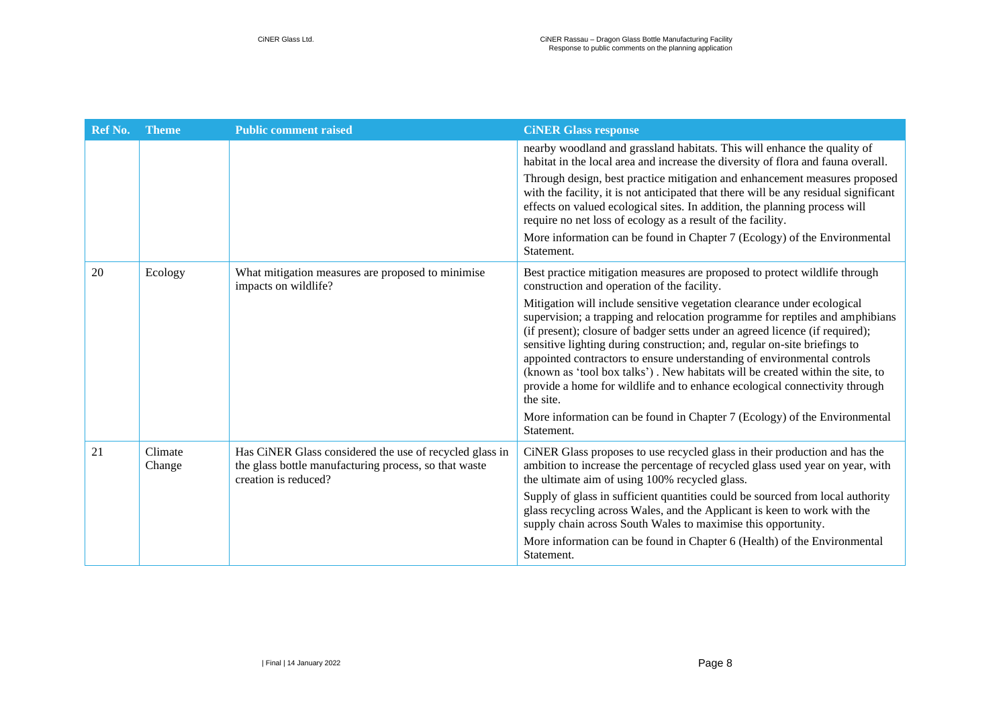| Ref No. | <b>Theme</b>      | <b>Public comment raised</b>                                                                                                             | <b>CINER Glass response</b>                                                                                                                                                                                                                                                                                                                                                                                                                                                                                                                                                 |
|---------|-------------------|------------------------------------------------------------------------------------------------------------------------------------------|-----------------------------------------------------------------------------------------------------------------------------------------------------------------------------------------------------------------------------------------------------------------------------------------------------------------------------------------------------------------------------------------------------------------------------------------------------------------------------------------------------------------------------------------------------------------------------|
|         |                   |                                                                                                                                          | nearby woodland and grassland habitats. This will enhance the quality of<br>habitat in the local area and increase the diversity of flora and fauna overall.                                                                                                                                                                                                                                                                                                                                                                                                                |
|         |                   |                                                                                                                                          | Through design, best practice mitigation and enhancement measures proposed<br>with the facility, it is not anticipated that there will be any residual significant<br>effects on valued ecological sites. In addition, the planning process will<br>require no net loss of ecology as a result of the facility.                                                                                                                                                                                                                                                             |
|         |                   |                                                                                                                                          | More information can be found in Chapter 7 (Ecology) of the Environmental<br>Statement.                                                                                                                                                                                                                                                                                                                                                                                                                                                                                     |
| 20      | Ecology           | What mitigation measures are proposed to minimise<br>impacts on wildlife?                                                                | Best practice mitigation measures are proposed to protect wildlife through<br>construction and operation of the facility.                                                                                                                                                                                                                                                                                                                                                                                                                                                   |
|         |                   |                                                                                                                                          | Mitigation will include sensitive vegetation clearance under ecological<br>supervision; a trapping and relocation programme for reptiles and amphibians<br>(if present); closure of badger setts under an agreed licence (if required);<br>sensitive lighting during construction; and, regular on-site briefings to<br>appointed contractors to ensure understanding of environmental controls<br>(known as 'tool box talks'). New habitats will be created within the site, to<br>provide a home for wildlife and to enhance ecological connectivity through<br>the site. |
|         |                   |                                                                                                                                          | More information can be found in Chapter 7 (Ecology) of the Environmental<br>Statement.                                                                                                                                                                                                                                                                                                                                                                                                                                                                                     |
| 21      | Climate<br>Change | Has CiNER Glass considered the use of recycled glass in<br>the glass bottle manufacturing process, so that waste<br>creation is reduced? | CiNER Glass proposes to use recycled glass in their production and has the<br>ambition to increase the percentage of recycled glass used year on year, with<br>the ultimate aim of using 100% recycled glass.                                                                                                                                                                                                                                                                                                                                                               |
|         |                   |                                                                                                                                          | Supply of glass in sufficient quantities could be sourced from local authority<br>glass recycling across Wales, and the Applicant is keen to work with the<br>supply chain across South Wales to maximise this opportunity.                                                                                                                                                                                                                                                                                                                                                 |
|         |                   |                                                                                                                                          | More information can be found in Chapter 6 (Health) of the Environmental<br>Statement.                                                                                                                                                                                                                                                                                                                                                                                                                                                                                      |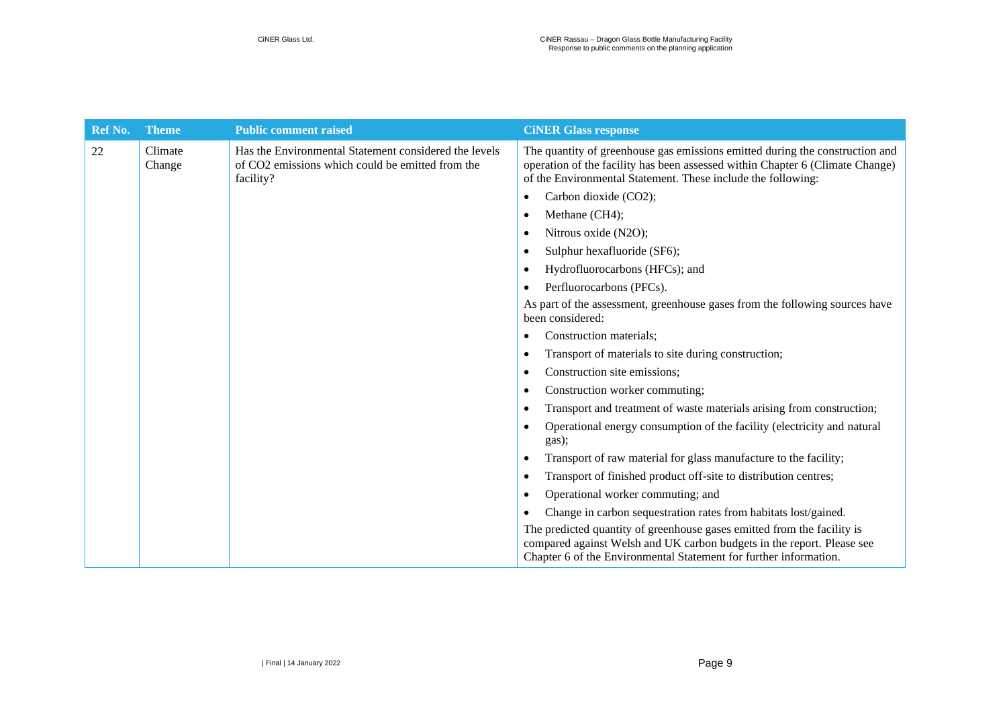| Ref No. | <b>Theme</b>      | <b>Public comment raised</b>                                                                                           | <b>CINER Glass response</b>                                                                                                                                                                                                   |
|---------|-------------------|------------------------------------------------------------------------------------------------------------------------|-------------------------------------------------------------------------------------------------------------------------------------------------------------------------------------------------------------------------------|
| 22      | Climate<br>Change | Has the Environmental Statement considered the levels<br>of CO2 emissions which could be emitted from the<br>facility? | The quantity of greenhouse gas emissions emitted during the construction and<br>operation of the facility has been assessed within Chapter 6 (Climate Change)<br>of the Environmental Statement. These include the following: |
|         |                   |                                                                                                                        | Carbon dioxide (CO2);<br>٠                                                                                                                                                                                                    |
|         |                   |                                                                                                                        | Methane (CH4);<br>٠                                                                                                                                                                                                           |
|         |                   |                                                                                                                        | Nitrous oxide (N2O);<br>٠                                                                                                                                                                                                     |
|         |                   |                                                                                                                        | Sulphur hexafluoride (SF6);                                                                                                                                                                                                   |
|         |                   |                                                                                                                        | Hydrofluorocarbons (HFCs); and                                                                                                                                                                                                |
|         |                   |                                                                                                                        | Perfluorocarbons (PFCs).                                                                                                                                                                                                      |
|         |                   |                                                                                                                        | As part of the assessment, greenhouse gases from the following sources have<br>been considered:                                                                                                                               |
|         |                   |                                                                                                                        | Construction materials;<br>٠                                                                                                                                                                                                  |
|         |                   |                                                                                                                        | Transport of materials to site during construction;<br>٠                                                                                                                                                                      |
|         |                   |                                                                                                                        | Construction site emissions;                                                                                                                                                                                                  |
|         |                   |                                                                                                                        | Construction worker commuting;                                                                                                                                                                                                |
|         |                   |                                                                                                                        | Transport and treatment of waste materials arising from construction;<br>٠                                                                                                                                                    |
|         |                   |                                                                                                                        | Operational energy consumption of the facility (electricity and natural<br>gas);                                                                                                                                              |
|         |                   |                                                                                                                        | Transport of raw material for glass manufacture to the facility;                                                                                                                                                              |
|         |                   |                                                                                                                        | Transport of finished product off-site to distribution centres;                                                                                                                                                               |
|         |                   |                                                                                                                        | Operational worker commuting; and<br>$\bullet$                                                                                                                                                                                |
|         |                   |                                                                                                                        | Change in carbon sequestration rates from habitats lost/gained.                                                                                                                                                               |
|         |                   |                                                                                                                        | The predicted quantity of greenhouse gases emitted from the facility is<br>compared against Welsh and UK carbon budgets in the report. Please see<br>Chapter 6 of the Environmental Statement for further information.        |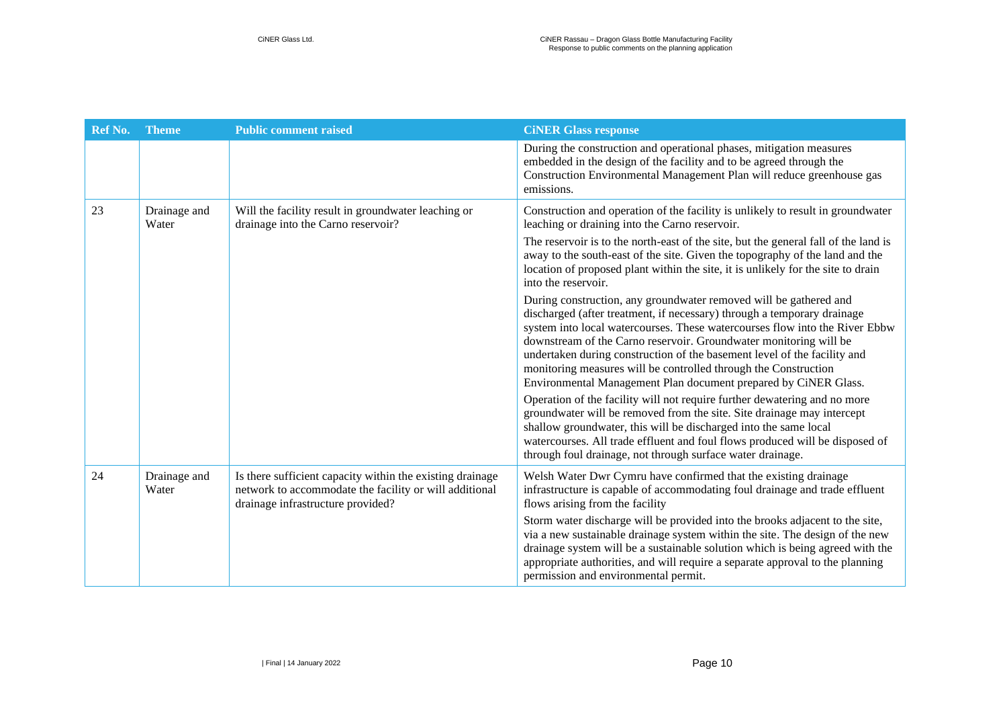| Ref No. | <b>Theme</b>          | <b>Public comment raised</b>                                                                                                                             | <b>CINER Glass response</b>                                                                                                                                                                                                                                                                                                                                                                                                                                                                                        |
|---------|-----------------------|----------------------------------------------------------------------------------------------------------------------------------------------------------|--------------------------------------------------------------------------------------------------------------------------------------------------------------------------------------------------------------------------------------------------------------------------------------------------------------------------------------------------------------------------------------------------------------------------------------------------------------------------------------------------------------------|
|         |                       |                                                                                                                                                          | During the construction and operational phases, mitigation measures<br>embedded in the design of the facility and to be agreed through the<br>Construction Environmental Management Plan will reduce greenhouse gas<br>emissions.                                                                                                                                                                                                                                                                                  |
| 23      | Drainage and<br>Water | Will the facility result in groundwater leaching or<br>drainage into the Carno reservoir?                                                                | Construction and operation of the facility is unlikely to result in groundwater<br>leaching or draining into the Carno reservoir.                                                                                                                                                                                                                                                                                                                                                                                  |
|         |                       |                                                                                                                                                          | The reservoir is to the north-east of the site, but the general fall of the land is<br>away to the south-east of the site. Given the topography of the land and the<br>location of proposed plant within the site, it is unlikely for the site to drain<br>into the reservoir.                                                                                                                                                                                                                                     |
|         |                       |                                                                                                                                                          | During construction, any groundwater removed will be gathered and<br>discharged (after treatment, if necessary) through a temporary drainage<br>system into local watercourses. These watercourses flow into the River Ebbw<br>downstream of the Carno reservoir. Groundwater monitoring will be<br>undertaken during construction of the basement level of the facility and<br>monitoring measures will be controlled through the Construction<br>Environmental Management Plan document prepared by CiNER Glass. |
|         |                       |                                                                                                                                                          | Operation of the facility will not require further dewatering and no more<br>groundwater will be removed from the site. Site drainage may intercept<br>shallow groundwater, this will be discharged into the same local<br>watercourses. All trade effluent and foul flows produced will be disposed of<br>through foul drainage, not through surface water drainage.                                                                                                                                              |
| 24      | Drainage and<br>Water | Is there sufficient capacity within the existing drainage<br>network to accommodate the facility or will additional<br>drainage infrastructure provided? | Welsh Water Dwr Cymru have confirmed that the existing drainage<br>infrastructure is capable of accommodating foul drainage and trade effluent<br>flows arising from the facility                                                                                                                                                                                                                                                                                                                                  |
|         |                       |                                                                                                                                                          | Storm water discharge will be provided into the brooks adjacent to the site,<br>via a new sustainable drainage system within the site. The design of the new<br>drainage system will be a sustainable solution which is being agreed with the<br>appropriate authorities, and will require a separate approval to the planning<br>permission and environmental permit.                                                                                                                                             |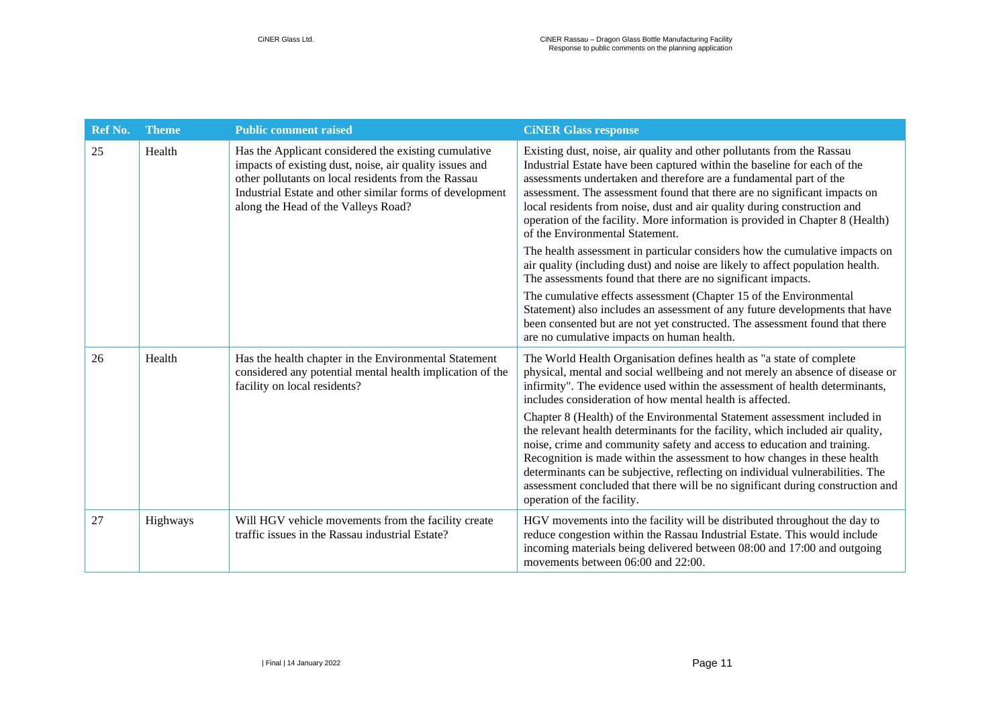| Ref No. | <b>Theme</b> | <b>Public comment raised</b>                                                                                                                                                                                                                                              | <b>CINER Glass response</b>                                                                                                                                                                                                                                                                                                                                                                                                                                                                                        |
|---------|--------------|---------------------------------------------------------------------------------------------------------------------------------------------------------------------------------------------------------------------------------------------------------------------------|--------------------------------------------------------------------------------------------------------------------------------------------------------------------------------------------------------------------------------------------------------------------------------------------------------------------------------------------------------------------------------------------------------------------------------------------------------------------------------------------------------------------|
| 25      | Health       | Has the Applicant considered the existing cumulative<br>impacts of existing dust, noise, air quality issues and<br>other pollutants on local residents from the Rassau<br>Industrial Estate and other similar forms of development<br>along the Head of the Valleys Road? | Existing dust, noise, air quality and other pollutants from the Rassau<br>Industrial Estate have been captured within the baseline for each of the<br>assessments undertaken and therefore are a fundamental part of the<br>assessment. The assessment found that there are no significant impacts on<br>local residents from noise, dust and air quality during construction and<br>operation of the facility. More information is provided in Chapter 8 (Health)<br>of the Environmental Statement.              |
|         |              |                                                                                                                                                                                                                                                                           | The health assessment in particular considers how the cumulative impacts on<br>air quality (including dust) and noise are likely to affect population health.<br>The assessments found that there are no significant impacts.                                                                                                                                                                                                                                                                                      |
|         |              |                                                                                                                                                                                                                                                                           | The cumulative effects assessment (Chapter 15 of the Environmental<br>Statement) also includes an assessment of any future developments that have<br>been consented but are not yet constructed. The assessment found that there<br>are no cumulative impacts on human health.                                                                                                                                                                                                                                     |
| 26      | Health       | Has the health chapter in the Environmental Statement<br>considered any potential mental health implication of the<br>facility on local residents?                                                                                                                        | The World Health Organisation defines health as "a state of complete"<br>physical, mental and social wellbeing and not merely an absence of disease or<br>infirmity". The evidence used within the assessment of health determinants,<br>includes consideration of how mental health is affected.                                                                                                                                                                                                                  |
|         |              |                                                                                                                                                                                                                                                                           | Chapter 8 (Health) of the Environmental Statement assessment included in<br>the relevant health determinants for the facility, which included air quality,<br>noise, crime and community safety and access to education and training.<br>Recognition is made within the assessment to how changes in these health<br>determinants can be subjective, reflecting on individual vulnerabilities. The<br>assessment concluded that there will be no significant during construction and<br>operation of the facility. |
| 27      | Highways     | Will HGV vehicle movements from the facility create<br>traffic issues in the Rassau industrial Estate?                                                                                                                                                                    | HGV movements into the facility will be distributed throughout the day to<br>reduce congestion within the Rassau Industrial Estate. This would include<br>incoming materials being delivered between 08:00 and 17:00 and outgoing<br>movements between $06:00$ and $22:00$ .                                                                                                                                                                                                                                       |